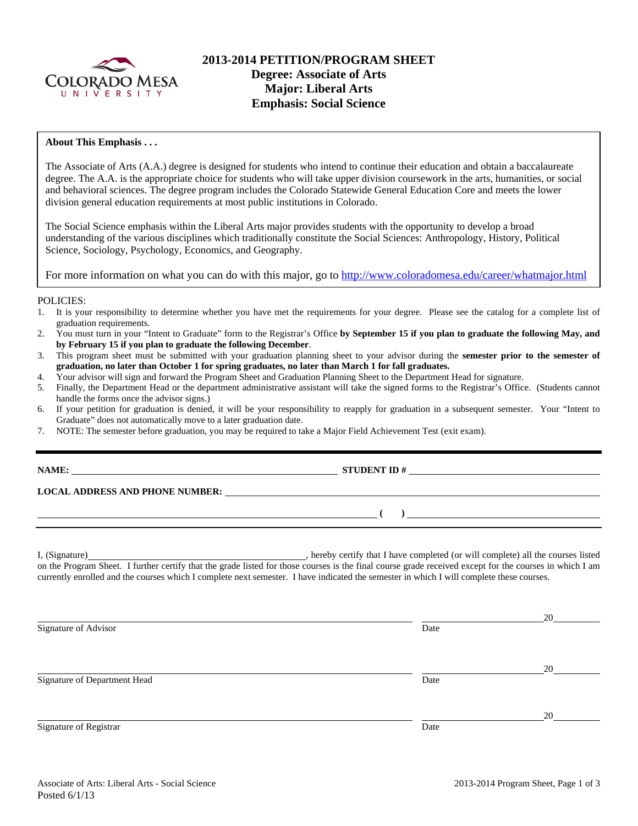

### **About This Emphasis . . .**

The Associate of Arts (A.A.) degree is designed for students who intend to continue their education and obtain a baccalaureate degree. The A.A. is the appropriate choice for students who will take upper division coursework in the arts, humanities, or social and behavioral sciences. The degree program includes the Colorado Statewide General Education Core and meets the lower division general education requirements at most public institutions in Colorado.

The Social Science emphasis within the Liberal Arts major provides students with the opportunity to develop a broad understanding of the various disciplines which traditionally constitute the Social Sciences: Anthropology, History, Political Science, Sociology, Psychology, Economics, and Geography.

For more information on what you can do with this major, go to http://www.coloradomesa.edu/career/whatmajor.html

### POLICIES:

- 1. It is your responsibility to determine whether you have met the requirements for your degree. Please see the catalog for a complete list of graduation requirements.
- 2. You must turn in your "Intent to Graduate" form to the Registrar's Office **by September 15 if you plan to graduate the following May, and by February 15 if you plan to graduate the following December**.
- 3. This program sheet must be submitted with your graduation planning sheet to your advisor during the **semester prior to the semester of graduation, no later than October 1 for spring graduates, no later than March 1 for fall graduates.**
- 4. Your advisor will sign and forward the Program Sheet and Graduation Planning Sheet to the Department Head for signature.
- 5. Finally, the Department Head or the department administrative assistant will take the signed forms to the Registrar's Office. (Students cannot handle the forms once the advisor signs.)
- 6. If your petition for graduation is denied, it will be your responsibility to reapply for graduation in a subsequent semester. Your "Intent to Graduate" does not automatically move to a later graduation date.
- 7. NOTE: The semester before graduation, you may be required to take a Major Field Achievement Test (exit exam).

**STUDENT ID #** 

 **( )** 

**LOCAL ADDRESS AND PHONE NUMBER:**

I, (Signature) , hereby certify that I have completed (or will complete) all the courses listed on the Program Sheet. I further certify that the grade listed for those courses is the final course grade received except for the courses in which I am currently enrolled and the courses which I complete next semester. I have indicated the semester in which I will complete these courses.

<u>20</u> Signature of Advisor Date **Date** <u>20</u> Signature of Department Head Date <u>20</u> Signature of Registrar Date Date of Registrar Date Date of Registrar Date Date of Registrar Date of Registrar Date of Registrar  $\sim$  Date of Registrar  $\sim$  Date of Registrar  $\sim$  Date of Registrar  $\sim$  Date of Registrar  $\$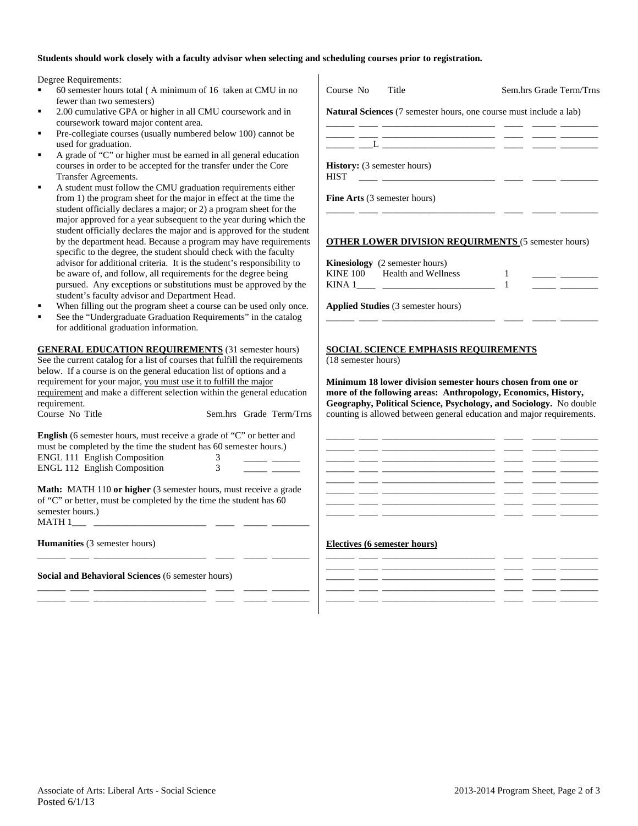## **Students should work closely with a faculty advisor when selecting and scheduling courses prior to registration.**

Degree Requirements:

- $60$  semester hours total (A minimum of 16 taken at CMU in fewer than two semesters)
- 2.00 cumulative GPA or higher in all CMU coursework and in coursework toward major content area.
- Pre-collegiate courses (usually numbered below 100) cannot be used for graduation.
- A grade of "C" or higher must be earned in all general educati courses in order to be accepted for the transfer under the Core Transfer Agreements.
- A student must follow the CMU graduation requirements either from 1) the program sheet for the major in effect at the time the student officially declares a major; or 2) a program sheet for the major approved for a year subsequent to the year during which student officially declares the major and is approved for the student by the department head. Because a program may have requirem specific to the degree, the student should check with the facult advisor for additional criteria. It is the student's responsibility be aware of, and follow, all requirements for the degree being pursued. Any exceptions or substitutions must be approved by student's faculty advisor and Department Head.
- When filling out the program sheet a course can be used only
- See the "Undergraduate Graduation Requirements" in the catalog at all  $\alpha$ for additional graduation information.

**GENERAL EDUCATION REQUIREMENTS** (31 semester hour See the current catalog for a list of courses that fulfill the requirements below. If a course is on the general education list of options and a requirement for your major, you must use it to fulfill the major requirement and make a different selection within the general education requirement.<br>Course No Title

Sem.hrs Grade Tern

**English** (6 semester hours, must receive a grade of "C" or better an must be completed by the time the student has 60 semester hours.) ENGL 111 English Composition 3 ENGL 112 English Composition 3 \_\_\_\_\_ \_\_\_\_\_\_

**Math:** MATH 110 or higher (3 semester hours, must receive a grade of "C" or better, must be completed by the time the student has 60 semester hours.)  $MATH 1$ <sub>\_\_\_\_</sub> \_

\_\_\_\_\_\_ \_\_\_\_ \_\_\_\_\_\_\_\_\_\_\_\_\_\_\_\_\_\_\_\_\_\_\_\_ \_\_\_\_ \_\_\_\_\_ \_\_\_\_\_\_\_\_

\_\_\_\_\_\_ \_\_\_\_ \_\_\_\_\_\_\_\_\_\_\_\_\_\_\_\_\_\_\_\_\_\_\_\_ \_\_\_\_ \_\_\_\_\_ \_\_\_\_\_\_\_\_ \_\_\_\_\_\_ \_\_\_\_ \_\_\_\_\_\_\_\_\_\_\_\_\_\_\_\_\_\_\_\_\_\_\_\_ \_\_\_\_ \_\_\_\_\_ \_\_\_\_\_\_\_\_

**Humanities** (3 semester hours)

**Social and Behavioral Sciences** (6 semester hours)

| Course No<br>Title                                                                                                                                                                                                                   | Sem.hrs Grade Term/Trns                                                                                                                                                                                                                    |
|--------------------------------------------------------------------------------------------------------------------------------------------------------------------------------------------------------------------------------------|--------------------------------------------------------------------------------------------------------------------------------------------------------------------------------------------------------------------------------------------|
| Natural Sciences (7 semester hours, one course must include a lab)                                                                                                                                                                   |                                                                                                                                                                                                                                            |
|                                                                                                                                                                                                                                      |                                                                                                                                                                                                                                            |
|                                                                                                                                                                                                                                      | $\frac{1}{2} \left( \frac{1}{2} \right) \left( \frac{1}{2} \right) \left( \frac{1}{2} \right)$                                                                                                                                             |
| <b>History:</b> (3 semester hours)<br><b>HIST</b>                                                                                                                                                                                    |                                                                                                                                                                                                                                            |
| Fine Arts (3 semester hours)                                                                                                                                                                                                         |                                                                                                                                                                                                                                            |
| <b>OTHER LOWER DIVISION REQUIRMENTS (5 semester hours)</b>                                                                                                                                                                           |                                                                                                                                                                                                                                            |
| <b>Kinesiology</b> (2 semester hours)                                                                                                                                                                                                |                                                                                                                                                                                                                                            |
| KINE 100 Health and Wellness                                                                                                                                                                                                         | 1                                                                                                                                                                                                                                          |
|                                                                                                                                                                                                                                      | -1<br><u> 1989 - John Harry Harry Harry Harry Harry Harry Harry Harry Harry Harry Harry Harry Harry Harry Harry Harry Harry Harry Harry Harry Harry Harry Harry Harry Harry Harry Harry Harry Harry Harry Harry Harry Harry Harry Harr</u> |
| Applied Studies (3 semester hours)                                                                                                                                                                                                   |                                                                                                                                                                                                                                            |
|                                                                                                                                                                                                                                      |                                                                                                                                                                                                                                            |
| <b>SOCIAL SCIENCE EMPHASIS REQUIREMENTS</b>                                                                                                                                                                                          |                                                                                                                                                                                                                                            |
| (18 semester hours)                                                                                                                                                                                                                  |                                                                                                                                                                                                                                            |
| Minimum 18 lower division semester hours chosen from one or                                                                                                                                                                          |                                                                                                                                                                                                                                            |
| more of the following areas: Anthropology, Economics, History,<br>Geography, Political Science, Psychology, and Sociology. No double                                                                                                 |                                                                                                                                                                                                                                            |
| counting is allowed between general education and major requirements.                                                                                                                                                                |                                                                                                                                                                                                                                            |
|                                                                                                                                                                                                                                      |                                                                                                                                                                                                                                            |
|                                                                                                                                                                                                                                      |                                                                                                                                                                                                                                            |
|                                                                                                                                                                                                                                      |                                                                                                                                                                                                                                            |
| <u>and an accompanies of the second contract of the second contract of the second contract of the second contract of the second contract of the second contract of the second contract of the second contract of the second cont</u> |                                                                                                                                                                                                                                            |
|                                                                                                                                                                                                                                      |                                                                                                                                                                                                                                            |
|                                                                                                                                                                                                                                      |                                                                                                                                                                                                                                            |

## **Electives (6 semester hours)**

| _______   | _______    | $   -$ |          |
|-----------|------------|--------|----------|
| _________ | __________ | $   -$ |          |
| _______   |            |        |          |
|           |            |        |          |
|           |            |        | ________ |